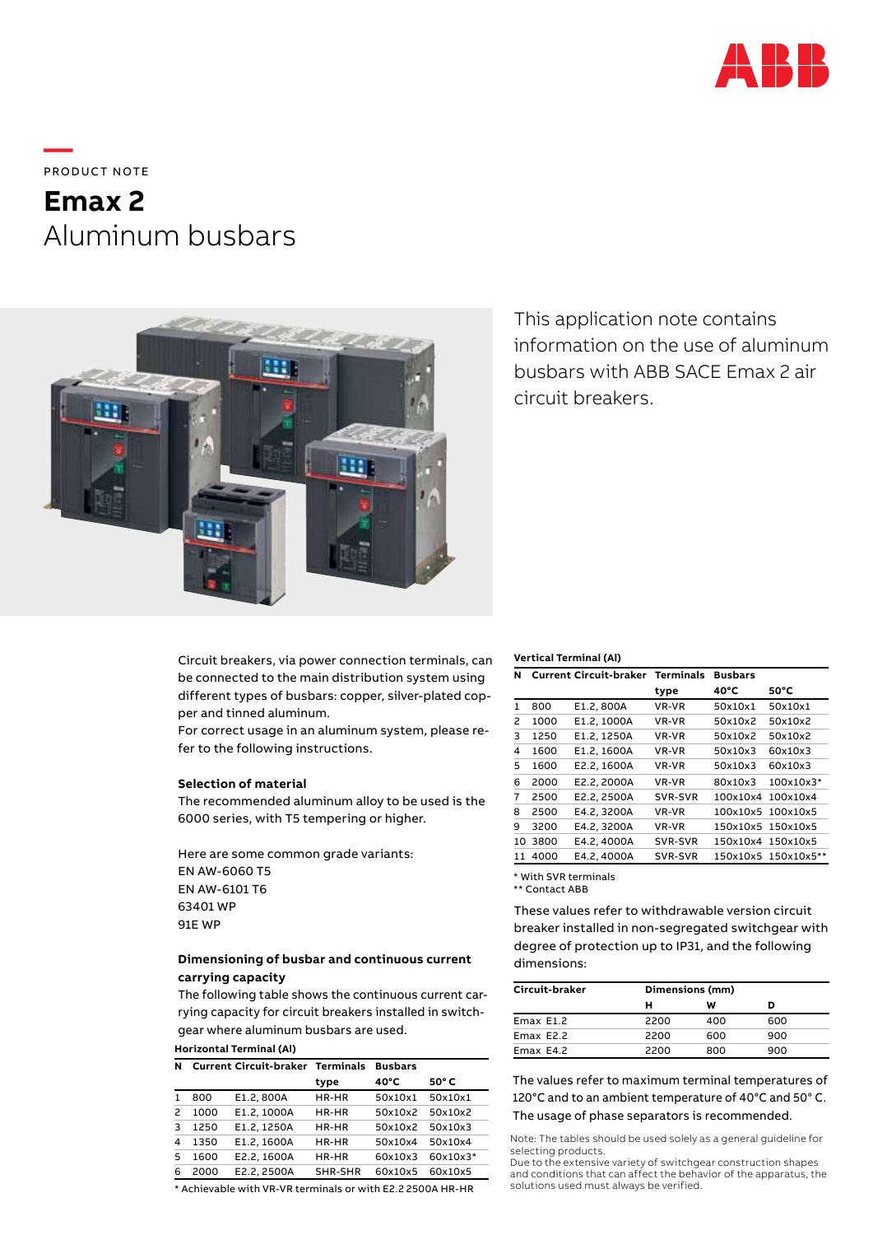

**—**  PRODUCT NOTE

# **Emax 2** Aluminum busbars



This application note contains information on the use of aluminum busbars with ABB SACE Emax 2 air circuit breakers.

Circuit breakers, via power connection terminals, can be connected to the main distribution system using different types of busbars: copper, silver-plated copper and tinned aluminum.

For correct usage in an aluminum system, please refer to the following instructions.

### **Selection of material**

The recommended aluminum alloy to be used is the 6000 series, with T5 tempering or higher.

Here are some common grade variants: EN AW-6060 T5 EN AW-6101 T6 63401 WP 91E WP

## **Dimensioning of busbar and continuous current carrying capacity**

The following table shows the continuous current carrying capacity for circuit breakers installed in switchgear where aluminum busbars are used.

#### **Horizontal Terminal (Al) N Current Circuit-braker Terminals Busbars**

| . . |      | Carlent Circuit-Diaker | .       | wuswars |              |
|-----|------|------------------------|---------|---------|--------------|
|     |      |                        | type    | 40°C    | $50^\circ C$ |
|     | 800  | E1.2, 800A             | HR-HR   | 50x10x1 | 50x10x1      |
| 2   | 1000 | E1.2.1000A             | HR-HR   | 50x10x2 | 50x10x2      |
| 3   | 1250 | E1.2.1250A             | HR-HR   | 50x10x2 | 50x10x3      |
| 4   | 1350 | E1.2.1600A             | HR-HR   | 50x10x4 | 50x10x4      |
| 5   | 1600 | E2.2.1600A             | HR-HR   | 60x10x3 | 60x10x3*     |
| 6   | 2000 | E2.2.2500A             | SHR-SHR | 60x10x5 | 60x10x5      |

\* Achievable with VR-VR terminals or with E2.2 2500A HR-HR

#### **Vertical Terminal (Al)**

| N  |      | <b>Current Circuit-braker Terminals</b> |         | <b>Busbars</b> |            |
|----|------|-----------------------------------------|---------|----------------|------------|
|    |      |                                         | type    | 40°C           | 50°C       |
| 1  | 800  | E1.2, 800A                              | VR-VR   | 50x10x1        | 50x10x1    |
| 2  | 1000 | E1.2, 1000A                             | VR-VR   | 50x10x2        | 50x10x2    |
| 3  | 1250 | E1.2, 1250A                             | VR-VR   | 50x10x2        | 50x10x2    |
| 4  | 1600 | E1.2, 1600A                             | VR-VR   | 50x10x3        | 60x10x3    |
| 5  | 1600 | E2.2, 1600A                             | VR-VR   | 50x10x3        | 60x10x3    |
| 6  | 2000 | E2.2, 2000A                             | VR-VR   | 80x10x3        | 100x10x3*  |
| 7  | 2500 | E2.2, 2500A                             | SVR-SVR | 100x10x4       | 100x10x4   |
| 8  | 2500 | E4.2, 3200A                             | VR-VR   | 100x10x5       | 100x10x5   |
| 9  | 3200 | E4.2, 3200A                             | VR-VR   | 150x10x5       | 150x10x5   |
| 10 | 3800 | E4.2, 4000A                             | SVR-SVR | 150x10x4       | 150x10x5   |
| 11 | 4000 | E4.2, 4000A                             | SVR-SVR | 150x10x5       | 150x10x5** |

\* With SVR terminals

\*\* Contact ABB

These values refer to withdrawable version circuit breaker installed in non-segregated switchgear with degree of protection up to IP31, and the following dimensions:

| Circuit-braker | Dimensions (mm) |     |     |  |
|----------------|-----------------|-----|-----|--|
|                | н               | w   | D   |  |
| Emax E1.2      | 2200            | 400 | 600 |  |
| Emax E2.2      | 2200            | 600 | 900 |  |
| Emax E4.2      | 2200            | 800 | 900 |  |

The values refer to maximum terminal temperatures of 120°C and to an ambient temperature of 40°C and 50° C. The usage of phase separators is recommended.

Note: The tables should be used solely as a general guideline for selecting products.

Due to the extensive variety of switchgear construction shapes and conditions that can affect the behavior of the apparatus, the solutions used must always be verified.